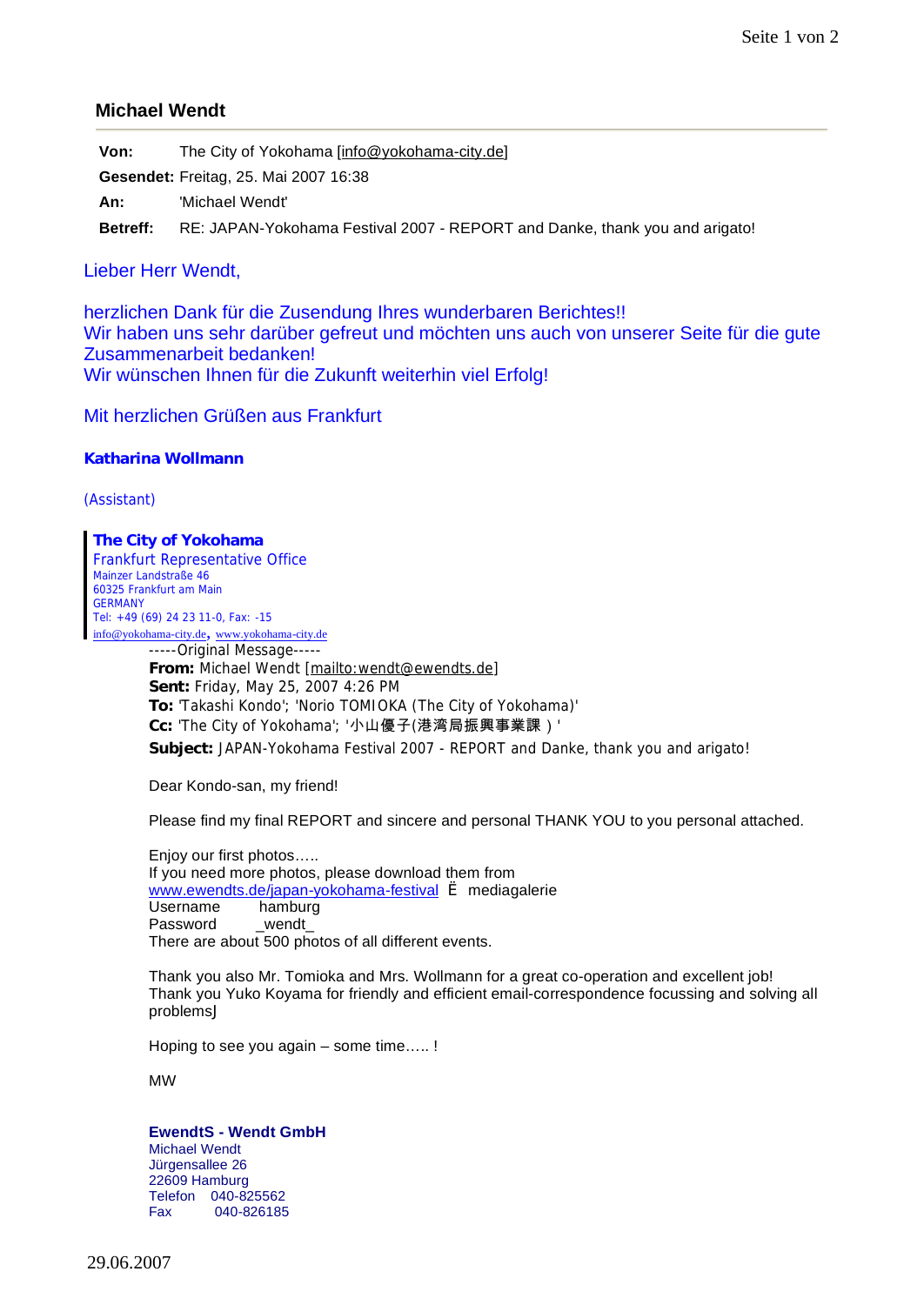## **Michael Wendt**

**Von:** The City of Yokohama [[info@yokohama-city.de\]](mailto:info@yokohama-city.de)

**Gesendet:** Freitag, 25. Mai 2007 16:38

**An:** 'Michael Wendt'

**Betreff:** RE: JAPAN-Yokohama Festival 2007 - REPORT and Danke, thank you and arigato!

## Lieber Herr Wendt,

herzlichen Dank für die Zusendung Ihres wunderbaren Berichtes!! Wir haben uns sehr darüber gefreut und möchten uns auch von unserer Seite für die gute Zusammenarbeit bedanken! Wir wünschen Ihnen für die Zukunft weiterhin viel Erfolg!

Mit herzlichen Grüßen aus Frankfurt

**Katharina Wollmann**

(Assistant)

**The City of Yokohama** Frankfurt Representative Office Mainzer Landstraße 46 60325 Frankfurt am Main **GERMANY** Tel: +49 (69) 24 23 11-0, Fax: -15 info@yokohama-city.de, www.yokohama-city.de -----Original Message----- **From:** Michael Wendt [\[mailto:wendt@ewendts.de\]](mailto:wendt@ewendts.de) **Sent:** Friday, May 25, 2007 4:26 PM **To:** 'Takashi Kondo'; 'Norio TOMIOKA (The City of Yokohama)' **Cc:** 'The City of Yokohama'; '小山優子(港湾局振興事業課)' **Subject:** JAPAN-Yokohama Festival 2007 - REPORT and Danke, thank you and arigato!

Dear Kondo-san, my friend!

Please find my final REPORT and sincere and personal THANK YOU to you personal attached.

Enjoy our first photos….. If you need more photos, please download them from [www.ewendts.de/japan-](http://www.ewendts.de/japan)yokohama-festival è mediagalerie Username hamburg Password \_wendt There are about 500 photos of all different events.

Thank you also Mr. Tomioka and Mrs. Wollmann for a great co-operation and excellent job! Thank you Yuko Koyama for friendly and efficient email-correspondence focussing and solving all problemsJ

Hoping to see you again – some time….. !

MW

## **EwendtS - Wendt GmbH**

Michael Wendt Jürgensallee 26 22609 Hamburg Telefon 040-825562 Fax 040-826185